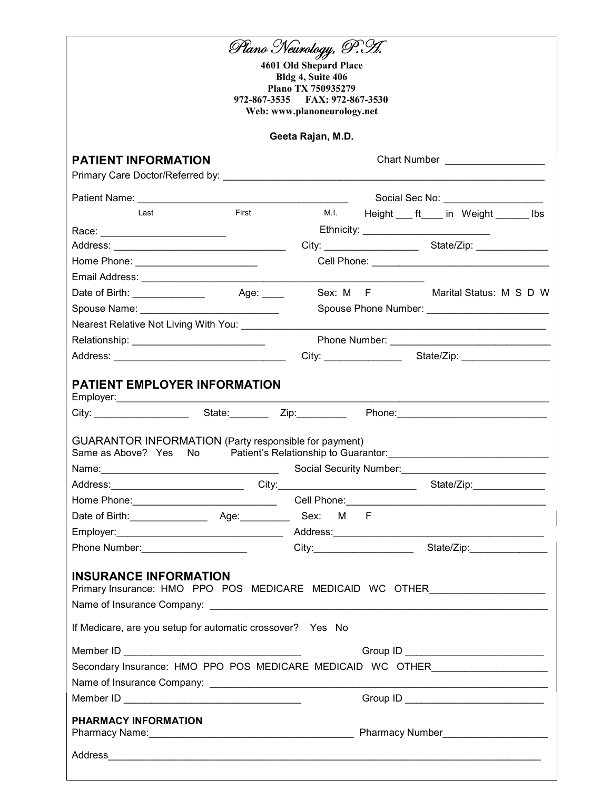|                                                                                                                |       | Plano Neurology, P.H.                                                 |  |  |                                              |  |
|----------------------------------------------------------------------------------------------------------------|-------|-----------------------------------------------------------------------|--|--|----------------------------------------------|--|
|                                                                                                                |       | 4601 Old Shepard Place                                                |  |  |                                              |  |
|                                                                                                                |       | Bldg 4, Suite 406<br>Plano TX 750935279                               |  |  |                                              |  |
|                                                                                                                |       | 972-867-3535 FAX: 972-867-3530                                        |  |  |                                              |  |
|                                                                                                                |       | Web: www.planoneurology.net                                           |  |  |                                              |  |
|                                                                                                                |       | Geeta Rajan, M.D.                                                     |  |  |                                              |  |
| <b>PATIENT INFORMATION</b>                                                                                     |       |                                                                       |  |  |                                              |  |
| Primary Care Doctor/Referred by:                                                                               |       |                                                                       |  |  |                                              |  |
|                                                                                                                |       |                                                                       |  |  | Social Sec No: ____________________          |  |
| Last                                                                                                           | First | M.I.                                                                  |  |  | Height ____ ft_____ in Weight _______ lbs    |  |
| Race: __________________________                                                                               |       |                                                                       |  |  | Ethnicity: _________________________________ |  |
|                                                                                                                |       |                                                                       |  |  |                                              |  |
| Home Phone: ____________________________                                                                       |       |                                                                       |  |  |                                              |  |
|                                                                                                                |       |                                                                       |  |  |                                              |  |
|                                                                                                                |       |                                                                       |  |  | Sex: M F Marital Status: M S D W             |  |
|                                                                                                                |       |                                                                       |  |  |                                              |  |
| Nearest Relative Not Living With You: _________                                                                |       |                                                                       |  |  |                                              |  |
| Relationship: ______________________________                                                                   |       |                                                                       |  |  |                                              |  |
|                                                                                                                |       |                                                                       |  |  |                                              |  |
| <b>PATIENT EMPLOYER INFORMATION</b>                                                                            |       |                                                                       |  |  |                                              |  |
|                                                                                                                |       |                                                                       |  |  |                                              |  |
|                                                                                                                |       |                                                                       |  |  |                                              |  |
| <b>GUARANTOR INFORMATION (Party responsible for payment)</b>                                                   |       |                                                                       |  |  |                                              |  |
| Same as Above? Yes No                                                                                          |       |                                                                       |  |  |                                              |  |
| Name: 1990 - 1990 - 1990 - 1990 - 1990 - 1990 - 1990 - 1991 - 1992 - 1993 - 1994 - 1994 - 1994 - 1995 - 1996 - |       |                                                                       |  |  |                                              |  |
| Address:_______________________________                                                                        |       |                                                                       |  |  |                                              |  |
|                                                                                                                |       |                                                                       |  |  |                                              |  |
|                                                                                                                |       |                                                                       |  |  | State/Zip:_______________                    |  |
|                                                                                                                |       |                                                                       |  |  |                                              |  |
|                                                                                                                |       |                                                                       |  |  |                                              |  |
|                                                                                                                |       | City:___________________________________State/Zip:___________________ |  |  |                                              |  |
|                                                                                                                |       |                                                                       |  |  |                                              |  |
| <b>INSURANCE INFORMATION</b>                                                                                   |       |                                                                       |  |  |                                              |  |
| Primary Insurance: HMO PPO POS MEDICARE MEDICAID WC OTHER_______________________                               |       |                                                                       |  |  |                                              |  |
|                                                                                                                |       |                                                                       |  |  |                                              |  |
| If Medicare, are you setup for automatic crossover? Yes No                                                     |       |                                                                       |  |  |                                              |  |
|                                                                                                                |       |                                                                       |  |  |                                              |  |
| Secondary Insurance: HMO PPO POS MEDICARE MEDICAID WC OTHER_____________________                               |       |                                                                       |  |  | Group ID _________________________________   |  |
|                                                                                                                |       |                                                                       |  |  |                                              |  |
|                                                                                                                |       |                                                                       |  |  |                                              |  |
|                                                                                                                |       |                                                                       |  |  |                                              |  |
| PHARMACY INFORMATION                                                                                           |       |                                                                       |  |  |                                              |  |
|                                                                                                                |       |                                                                       |  |  |                                              |  |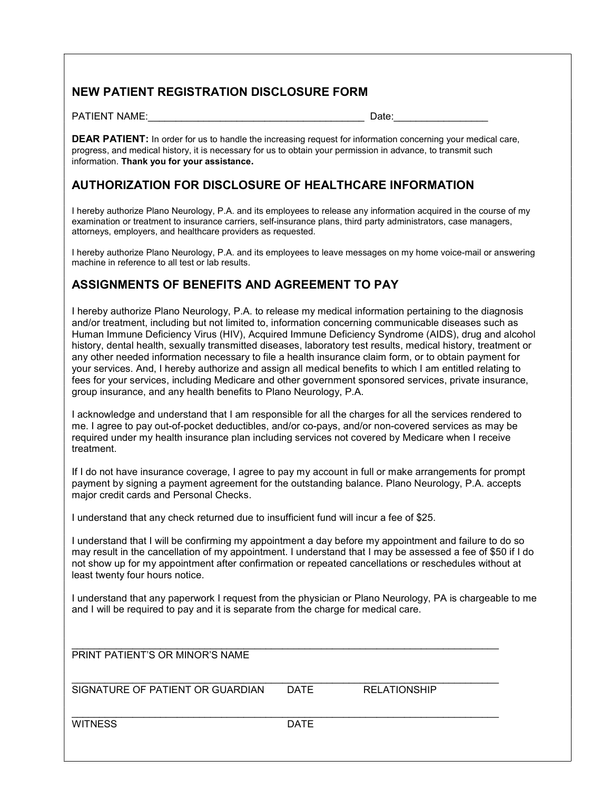#### NEW PATIENT REGISTRATION DISCLOSURE FORM

PATIENT NAME: The contract of the contract of the contract of the contract of the contract of the contract of the contract of the contract of the contract of the contract of the contract of the contract of the contract of

**DEAR PATIENT:** In order for us to handle the increasing request for information concerning your medical care, progress, and medical history, it is necessary for us to obtain your permission in advance, to transmit such information. Thank you for your assistance.

#### AUTHORIZATION FOR DISCLOSURE OF HEALTHCARE INFORMATION

I hereby authorize Plano Neurology, P.A. and its employees to release any information acquired in the course of my examination or treatment to insurance carriers, self-insurance plans, third party administrators, case managers, attorneys, employers, and healthcare providers as requested.

I hereby authorize Plano Neurology, P.A. and its employees to leave messages on my home voice-mail or answering machine in reference to all test or lab results.

#### ASSIGNMENTS OF BENEFITS AND AGREEMENT TO PAY

I hereby authorize Plano Neurology, P.A. to release my medical information pertaining to the diagnosis and/or treatment, including but not limited to, information concerning communicable diseases such as Human Immune Deficiency Virus (HIV), Acquired Immune Deficiency Syndrome (AIDS), drug and alcohol history, dental health, sexually transmitted diseases, laboratory test results, medical history, treatment or any other needed information necessary to file a health insurance claim form, or to obtain payment for your services. And, I hereby authorize and assign all medical benefits to which I am entitled relating to fees for your services, including Medicare and other government sponsored services, private insurance, group insurance, and any health benefits to Plano Neurology, P.A.

I acknowledge and understand that I am responsible for all the charges for all the services rendered to me. I agree to pay out-of-pocket deductibles, and/or co-pays, and/or non-covered services as may be required under my health insurance plan including services not covered by Medicare when I receive treatment.

If I do not have insurance coverage, I agree to pay my account in full or make arrangements for prompt payment by signing a payment agreement for the outstanding balance. Plano Neurology, P.A. accepts major credit cards and Personal Checks.

I understand that any check returned due to insufficient fund will incur a fee of \$25.

I understand that I will be confirming my appointment a day before my appointment and failure to do so may result in the cancellation of my appointment. I understand that I may be assessed a fee of \$50 if I do not show up for my appointment after confirmation or repeated cancellations or reschedules without at least twenty four hours notice.

I understand that any paperwork I request from the physician or Plano Neurology, PA is chargeable to me and I will be required to pay and it is separate from the charge for medical care.

| PRINT PATIENT'S OR MINOR'S NAME  |             |                     |
|----------------------------------|-------------|---------------------|
| SIGNATURE OF PATIENT OR GUARDIAN | DATE        | <b>RELATIONSHIP</b> |
| <b>WITNESS</b>                   | <b>DATE</b> |                     |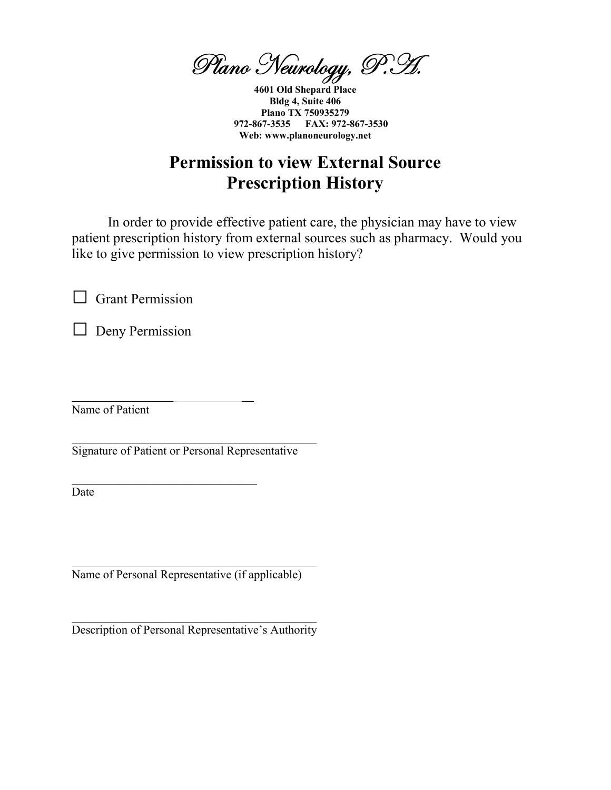Plano Neurology, P.H.

4601 Old Shepard Place Bldg 4, Suite 406 Plano TX 750935279 972-867-3535 FAX: 972-867-3530 Web: www.planoneurology.net

# Permission to view External Source Prescription History

In order to provide effective patient care, the physician may have to view patient prescription history from external sources such as pharmacy. Would you like to give permission to view prescription history?

 $\Box$  Grant Permission

 $\Box$  Deny Permission

Name of Patient

Signature of Patient or Personal Representative

 $\mathcal{L}_\text{max}$  and  $\mathcal{L}_\text{max}$  and  $\mathcal{L}_\text{max}$  and  $\mathcal{L}_\text{max}$ 

 $\_$ 

Date

Name of Personal Representative (if applicable)

Description of Personal Representative's Authority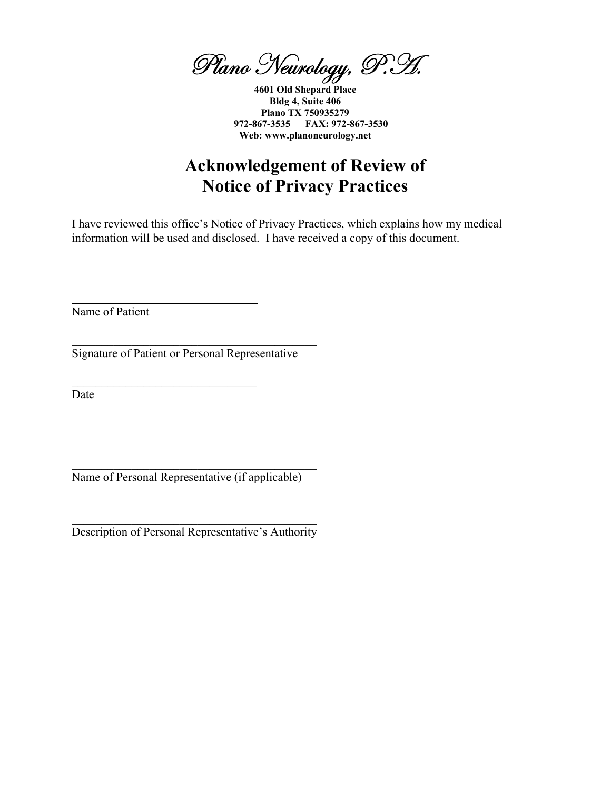Plano Neurology, P.H.

4601 Old Shepard Place Bldg 4, Suite 406 Plano TX 750935279 972-867-3535 FAX: 972-867-3530 Web: www.planoneurology.net

# Acknowledgement of Review of Notice of Privacy Practices

I have reviewed this office's Notice of Privacy Practices, which explains how my medical information will be used and disclosed. I have received a copy of this document.

Name of Patient

Signature of Patient or Personal Representative

 $\overline{\phantom{a}}$  , where  $\overline{\phantom{a}}$  , where  $\overline{\phantom{a}}$  , where  $\overline{\phantom{a}}$ 

Date

Name of Personal Representative (if applicable)

Description of Personal Representative's Authority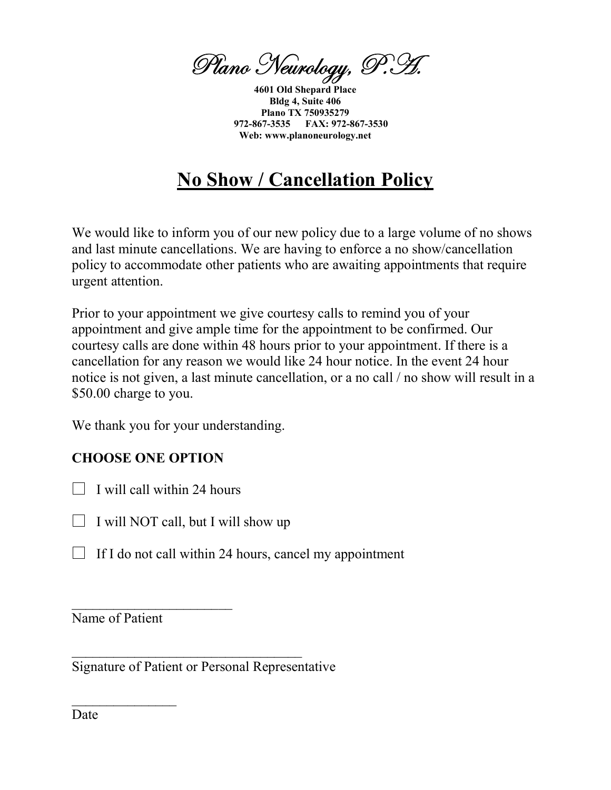Plano Neurology, P.H.

4601 Old Shepard Place Bldg 4, Suite 406 Plano TX 750935279 972-867-3535 FAX: 972-867-3530 Web: www.planoneurology.net

# No Show / Cancellation Policy

We would like to inform you of our new policy due to a large volume of no shows and last minute cancellations. We are having to enforce a no show/cancellation policy to accommodate other patients who are awaiting appointments that require urgent attention.

Prior to your appointment we give courtesy calls to remind you of your appointment and give ample time for the appointment to be confirmed. Our courtesy calls are done within 48 hours prior to your appointment. If there is a cancellation for any reason we would like 24 hour notice. In the event 24 hour notice is not given, a last minute cancellation, or a no call / no show will result in a \$50.00 charge to you.

We thank you for your understanding.

## CHOOSE ONE OPTION

 $\Box$  I will call within 24 hours

 $\mathcal{L}_\text{max}$  , where  $\mathcal{L}_\text{max}$  and  $\mathcal{L}_\text{max}$ 

- $\Box$  I will NOT call, but I will show up
- $\Box$  If I do not call within 24 hours, cancel my appointment

Name of Patient

 $\mathcal{L}_\text{max}$  and  $\mathcal{L}_\text{max}$ 

Signature of Patient or Personal Representative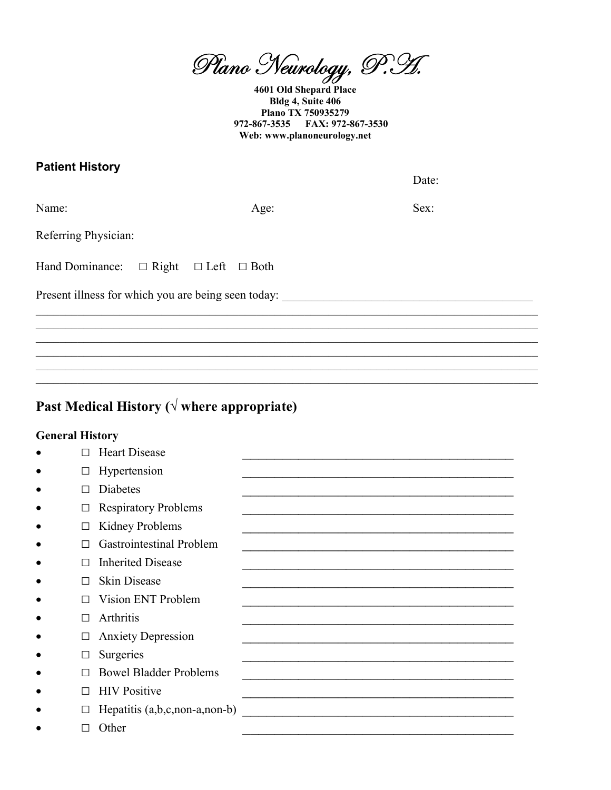Plano Neurology, P.H.

4601 Old Shepard Place Bldg 4, Suite 406 Plano TX 750935279 972-867-3535 FAX: 972-867-3530 Web: www.planoneurology.net

#### **Patient History**

Date:

Name:

Age:

Sex:

Referring Physician:

Hand Dominance: □ Right □ Left □ Both

Present illness for which you are being seen today:

## Past Medical History ( $\sqrt{ }$  where appropriate)

#### **General History**

| П                        | <b>Heart Disease</b>            |  |
|--------------------------|---------------------------------|--|
| $\overline{\phantom{a}}$ | Hypertension                    |  |
| П                        | <b>Diabetes</b>                 |  |
| □                        | <b>Respiratory Problems</b>     |  |
| □                        | Kidney Problems                 |  |
| П                        | <b>Gastrointestinal Problem</b> |  |
| П                        | <b>Inherited Disease</b>        |  |
| П                        | <b>Skin Disease</b>             |  |
| П                        | Vision ENT Problem              |  |
| П                        | Arthritis                       |  |
| $\Box$                   | <b>Anxiety Depression</b>       |  |
| $\Box$                   | Surgeries                       |  |
| П                        | <b>Bowel Bladder Problems</b>   |  |
| П                        | <b>HIV</b> Positive             |  |
| $\Box$                   | Hepatitis $(a,b,c,non-a,non-b)$ |  |
|                          | Other                           |  |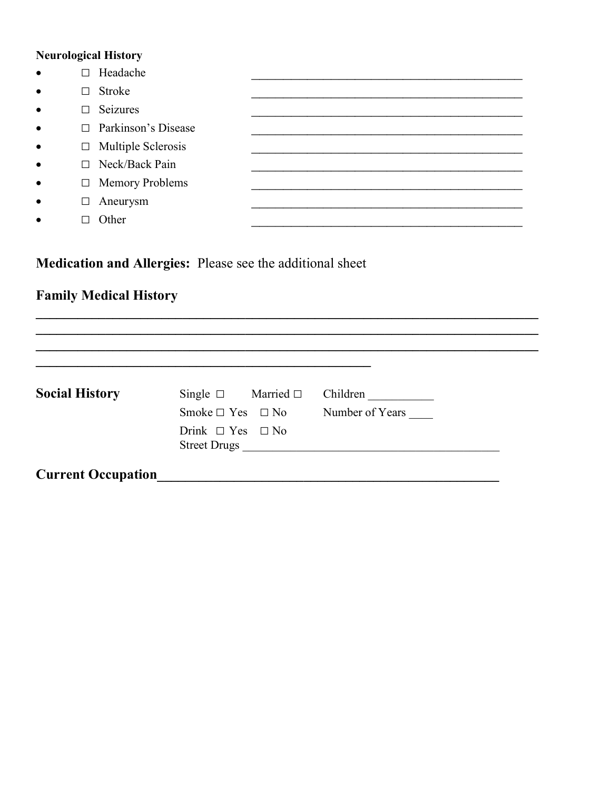## **Neurological History**

| $\bullet$ | Headache<br>П              |  |
|-----------|----------------------------|--|
| $\bullet$ | Stroke<br>$\Box$           |  |
| $\bullet$ | Seizures<br>$\Box$         |  |
| $\bullet$ | $\Box$ Parkinson's Disease |  |
| $\bullet$ | $\Box$ Multiple Sclerosis  |  |
| $\bullet$ | $\Box$ Neck/Back Pain      |  |
| $\bullet$ | □ Memory Problems          |  |
| $\bullet$ | Aneurysm<br>□              |  |
| $\bullet$ | Other                      |  |

Medication and Allergies: Please see the additional sheet

## **Family Medical History**

| <b>Social History</b> | Single $\square$ Married $\square$ | Children        |
|-----------------------|------------------------------------|-----------------|
|                       |                                    |                 |
|                       | Smoke $\Box$ Yes $\Box$ No         | Number of Years |
|                       | Drink $\Box$ Yes $\Box$ No         |                 |
|                       |                                    |                 |